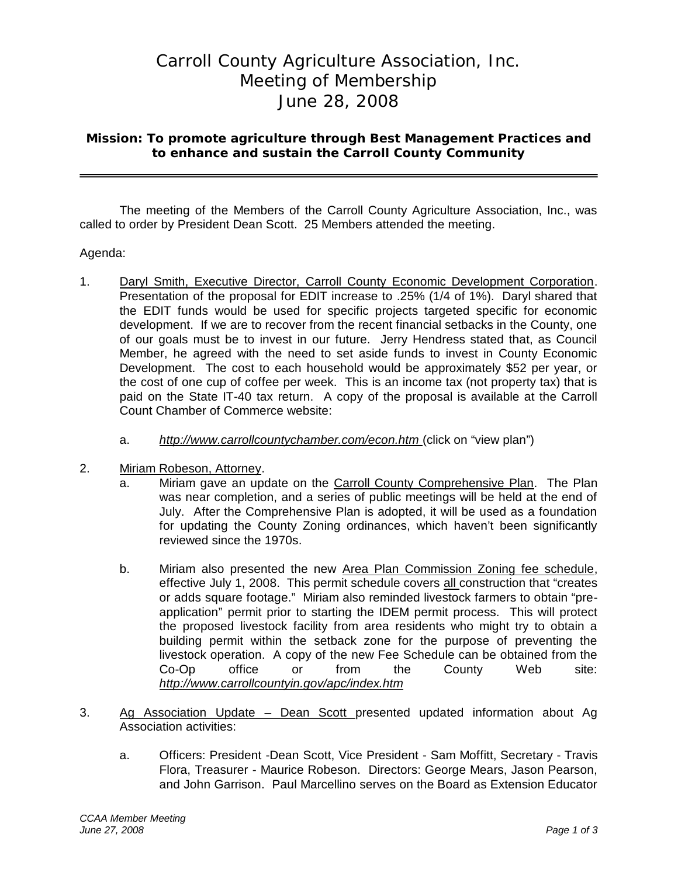## Carroll County Agriculture Association, Inc. Meeting of Membership June 28, 2008

## **Mission: To promote agriculture through Best Management Practices and to enhance and sustain the Carroll County Community**

The meeting of the Members of the Carroll County Agriculture Association, Inc., was called to order by President Dean Scott. 25 Members attended the meeting.

## Agenda:

- 1. Daryl Smith, Executive Director, Carroll County Economic Development Corporation. Presentation of the proposal for EDIT increase to .25% (1/4 of 1%). Daryl shared that the EDIT funds would be used for specific projects targeted specific for economic development. If we are to recover from the recent financial setbacks in the County, one of our goals must be to invest in our future. Jerry Hendress stated that, as Council Member, he agreed with the need to set aside funds to invest in County Economic Development. The cost to each household would be approximately \$52 per year, or the cost of one cup of coffee per week. This is an income tax (not property tax) that is paid on the State IT-40 tax return. A copy of the proposal is available at the Carroll Count Chamber of Commerce website:
	- a. *http://www.carrollcountychamber.com/econ.htm* (click on "view plan")
- 2. Miriam Robeson, Attorney.
	- a. Miriam gave an update on the Carroll County Comprehensive Plan. The Plan was near completion, and a series of public meetings will be held at the end of July. After the Comprehensive Plan is adopted, it will be used as a foundation for updating the County Zoning ordinances, which haven't been significantly reviewed since the 1970s.
	- b. Miriam also presented the new Area Plan Commission Zoning fee schedule, effective July 1, 2008. This permit schedule covers all construction that "creates or adds square footage." Miriam also reminded livestock farmers to obtain "preapplication" permit prior to starting the IDEM permit process. This will protect the proposed livestock facility from area residents who might try to obtain a building permit within the setback zone for the purpose of preventing the livestock operation. A copy of the new Fee Schedule can be obtained from the Co-Op office or from the County Web site: *http://www.carrollcountyin.gov/apc/index.htm*
- 3. Ag Association Update Dean Scott presented updated information about Ag Association activities:
	- a. Officers: President -Dean Scott, Vice President Sam Moffitt, Secretary Travis Flora, Treasurer - Maurice Robeson. Directors: George Mears, Jason Pearson, and John Garrison. Paul Marcellino serves on the Board as Extension Educator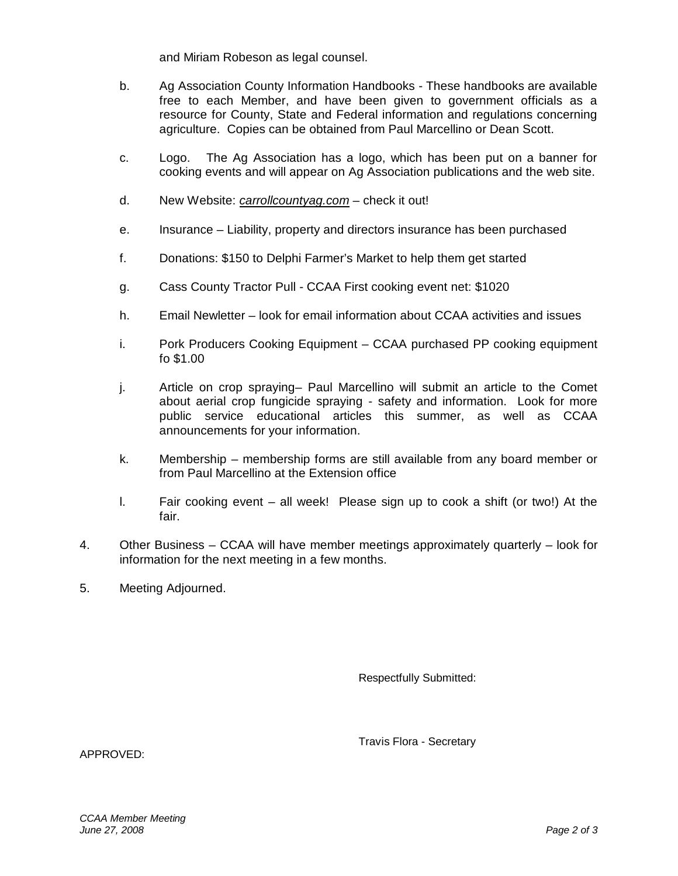and Miriam Robeson as legal counsel.

- b. Ag Association County Information Handbooks These handbooks are available free to each Member, and have been given to government officials as a resource for County, State and Federal information and regulations concerning agriculture. Copies can be obtained from Paul Marcellino or Dean Scott.
- c. Logo. The Ag Association has a logo, which has been put on a banner for cooking events and will appear on Ag Association publications and the web site.
- d. New Website: *carrollcountyag.com* check it out!
- e. Insurance Liability, property and directors insurance has been purchased
- f. Donations: \$150 to Delphi Farmer's Market to help them get started
- g. Cass County Tractor Pull CCAA First cooking event net: \$1020
- h. Email Newletter look for email information about CCAA activities and issues
- i. Pork Producers Cooking Equipment CCAA purchased PP cooking equipment fo \$1.00
- j. Article on crop spraying– Paul Marcellino will submit an article to the Comet about aerial crop fungicide spraying - safety and information. Look for more public service educational articles this summer, as well as CCAA announcements for your information.
- k. Membership membership forms are still available from any board member or from Paul Marcellino at the Extension office
- l. Fair cooking event all week! Please sign up to cook a shift (or two!) At the fair.
- 4. Other Business CCAA will have member meetings approximately quarterly look for information for the next meeting in a few months.
- 5. Meeting Adjourned.

Respectfully Submitted:

Travis Flora - Secretary

APPROVED: